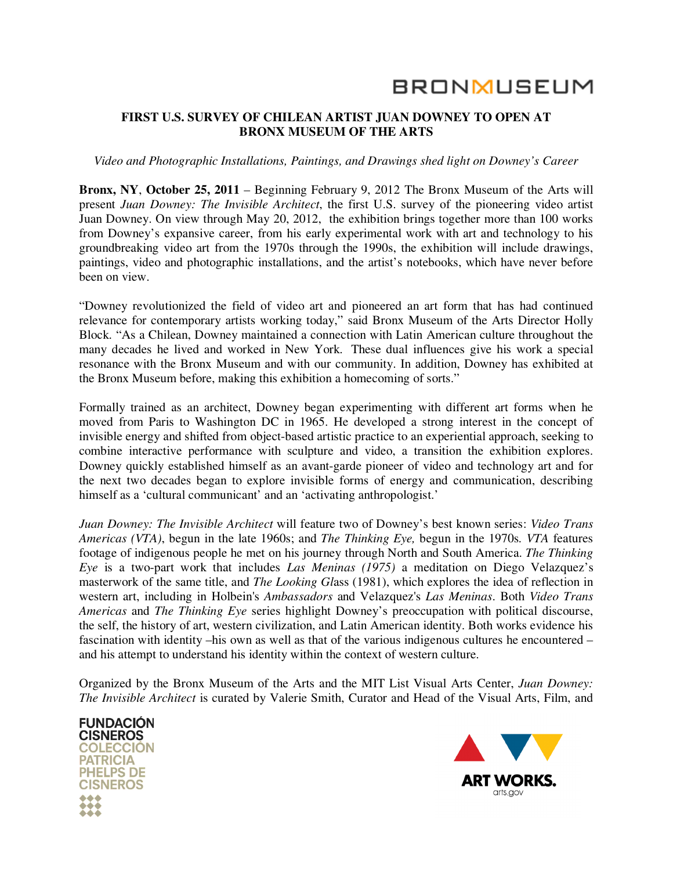# **BRONMUSEUM**

#### **FIRST U.S. SURVEY OF CHILEAN ARTIST JUAN DOWNEY TO OPEN AT BRONX MUSEUM OF THE ARTS**

#### *Video and Photographic Installations, Paintings, and Drawings shed light on Downey's Career*

**Bronx, NY**, **October 25, 2011** – Beginning February 9, 2012 The Bronx Museum of the Arts will present *Juan Downey: The Invisible Architect*, the first U.S. survey of the pioneering video artist Juan Downey. On view through May 20, 2012, the exhibition brings together more than 100 works from Downey's expansive career, from his early experimental work with art and technology to his groundbreaking video art from the 1970s through the 1990s, the exhibition will include drawings, paintings, video and photographic installations, and the artist's notebooks, which have never before been on view.

"Downey revolutionized the field of video art and pioneered an art form that has had continued relevance for contemporary artists working today," said Bronx Museum of the Arts Director Holly Block. "As a Chilean, Downey maintained a connection with Latin American culture throughout the many decades he lived and worked in New York. These dual influences give his work a special resonance with the Bronx Museum and with our community. In addition, Downey has exhibited at the Bronx Museum before, making this exhibition a homecoming of sorts."

Formally trained as an architect, Downey began experimenting with different art forms when he moved from Paris to Washington DC in 1965. He developed a strong interest in the concept of invisible energy and shifted from object-based artistic practice to an experiential approach, seeking to combine interactive performance with sculpture and video, a transition the exhibition explores. Downey quickly established himself as an avant-garde pioneer of video and technology art and for the next two decades began to explore invisible forms of energy and communication, describing himself as a 'cultural communicant' and an 'activating anthropologist.'

*Juan Downey: The Invisible Architect* will feature two of Downey's best known series: *Video Trans Americas (VTA)*, begun in the late 1960s; and *The Thinking Eye,* begun in the 1970s*. VTA* features footage of indigenous people he met on his journey through North and South America. *The Thinking Eye* is a two-part work that includes *Las Meninas (1975)* a meditation on Diego Velazquez's masterwork of the same title, and *The Looking Gl*ass (1981), which explores the idea of reflection in western art, including in Holbein's *Ambassadors* and Velazquez's *Las Meninas*. Both *Video Trans Americas* and *The Thinking Eye* series highlight Downey's preoccupation with political discourse, the self, the history of art, western civilization, and Latin American identity. Both works evidence his fascination with identity –his own as well as that of the various indigenous cultures he encountered – and his attempt to understand his identity within the context of western culture.

Organized by the Bronx Museum of the Arts and the MIT List Visual Arts Center, *Juan Downey: The Invisible Architect* is curated by Valerie Smith, Curator and Head of the Visual Arts, Film, and



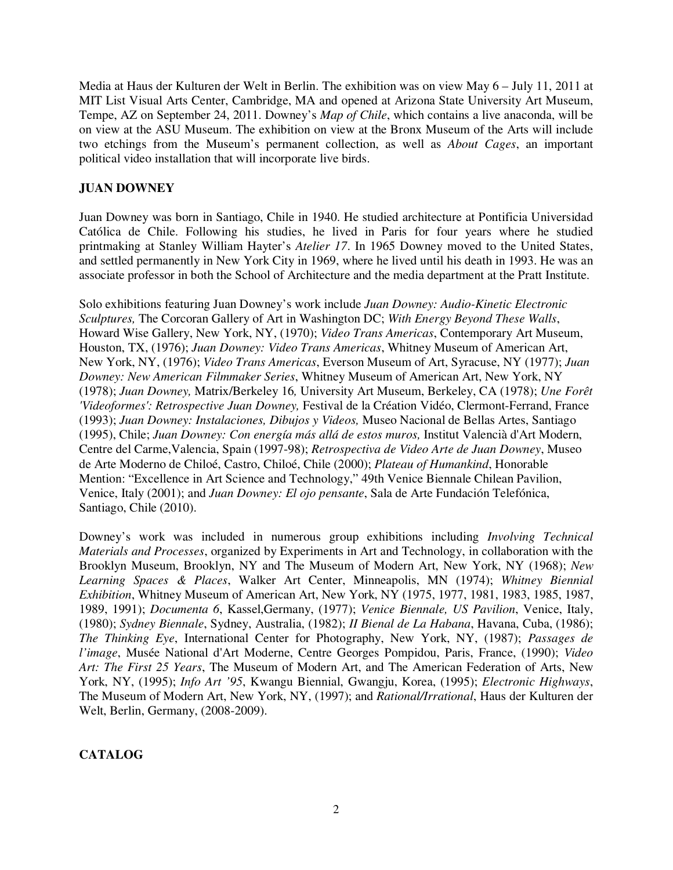Media at Haus der Kulturen der Welt in Berlin. The exhibition was on view May 6 – July 11, 2011 at MIT List Visual Arts Center, Cambridge, MA and opened at Arizona State University Art Museum, Tempe, AZ on September 24, 2011. Downey's *Map of Chile*, which contains a live anaconda, will be on view at the ASU Museum. The exhibition on view at the Bronx Museum of the Arts will include two etchings from the Museum's permanent collection, as well as *About Cages*, an important political video installation that will incorporate live birds.

## **JUAN DOWNEY**

Juan Downey was born in Santiago, Chile in 1940. He studied architecture at Pontificia Universidad Católica de Chile. Following his studies, he lived in Paris for four years where he studied printmaking at Stanley William Hayter's *Atelier 17*. In 1965 Downey moved to the United States, and settled permanently in New York City in 1969, where he lived until his death in 1993. He was an associate professor in both the School of Architecture and the media department at the Pratt Institute.

Solo exhibitions featuring Juan Downey's work include *Juan Downey: Audio-Kinetic Electronic Sculptures,* The Corcoran Gallery of Art in Washington DC; *With Energy Beyond These Walls*, Howard Wise Gallery, New York, NY, (1970); *Video Trans Americas*, Contemporary Art Museum, Houston, TX, (1976); *Juan Downey: Video Trans Americas*, Whitney Museum of American Art, New York, NY, (1976); *Video Trans Americas*, Everson Museum of Art, Syracuse, NY (1977); *Juan Downey: New American Filmmaker Series*, Whitney Museum of American Art, New York, NY (1978); *Juan Downey,* Matrix/Berkeley 16*,* University Art Museum, Berkeley, CA (1978); *Une Forêt 'Videoformes': Retrospective Juan Downey,* Festival de la Création Vidéo, Clermont-Ferrand, France (1993); *Juan Downey: Instalaciones, Dibujos y Videos,* Museo Nacional de Bellas Artes, Santiago (1995), Chile; *Juan Downey: Con energía más allá de estos muros,* Institut Valencià d'Art Modern, Centre del Carme,Valencia, Spain (1997-98); *Retrospectiva de Video Arte de Juan Downey*, Museo de Arte Moderno de Chiloé, Castro, Chiloé, Chile (2000); *Plateau of Humankind*, Honorable Mention: "Excellence in Art Science and Technology," 49th Venice Biennale Chilean Pavilion, Venice, Italy (2001); and *Juan Downey: El ojo pensante*, Sala de Arte Fundación Telefónica, Santiago, Chile (2010).

Downey's work was included in numerous group exhibitions including *Involving Technical Materials and Processes*, organized by Experiments in Art and Technology, in collaboration with the Brooklyn Museum, Brooklyn, NY and The Museum of Modern Art, New York, NY (1968); *New Learning Spaces & Places*, Walker Art Center, Minneapolis, MN (1974); *Whitney Biennial Exhibition*, Whitney Museum of American Art, New York, NY (1975, 1977, 1981, 1983, 1985, 1987, 1989, 1991); *Documenta 6*, Kassel,Germany, (1977); *Venice Biennale, US Pavilion*, Venice, Italy, (1980); *Sydney Biennale*, Sydney, Australia, (1982); *II Bienal de La Habana*, Havana, Cuba, (1986); *The Thinking Eye*, International Center for Photography, New York, NY, (1987); *Passages de l'image*, Musée National d'Art Moderne, Centre Georges Pompidou, Paris, France, (1990); *Video Art: The First 25 Years*, The Museum of Modern Art, and The American Federation of Arts, New York, NY, (1995); *Info Art '95*, Kwangu Biennial, Gwangju, Korea, (1995); *Electronic Highways*, The Museum of Modern Art, New York, NY, (1997); and *Rational/Irrational*, Haus der Kulturen der Welt, Berlin, Germany, (2008-2009).

## **CATALOG**